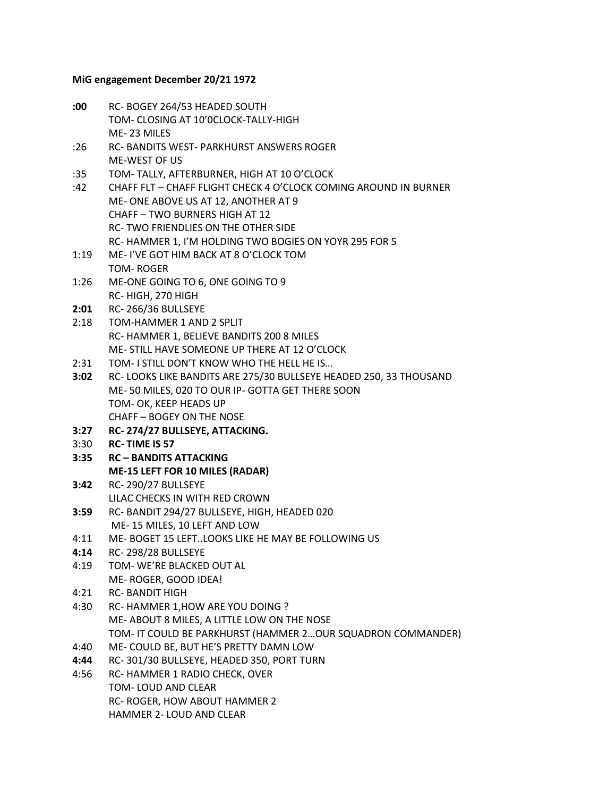## **MiG engagement December 20/21 1972**

**:00** RC- BOGEY 264/53 HEADED SOUTH TOM- CLOSING AT 10'0CLOCK-TALLY-HIGH ME- 23 MILES :26 RC- BANDITS WEST- PARKHURST ANSWERS ROGER ME-WEST OF US :35 TOM- TALLY, AFTERBURNER, HIGH AT 10 O'CLOCK :42 CHAFF FLT – CHAFF FLIGHT CHECK 4 O'CLOCK COMING AROUND IN BURNER ME- ONE ABOVE US AT 12, ANOTHER AT 9 CHAFF – TWO BURNERS HIGH AT 12 RC- TWO FRIENDLIES ON THE OTHER SIDE RC- HAMMER 1, I'M HOLDING TWO BOGIES ON YOYR 295 FOR 5 1:19 ME- I'VE GOT HIM BACK AT 8 O'CLOCK TOM TOM- ROGER 1:26 ME-ONE GOING TO 6, ONE GOING TO 9 RC- HIGH, 270 HIGH **2:01** RC- 266/36 BULLSEYE 2:18 TOM-HAMMER 1 AND 2 SPLIT RC- HAMMER 1, BELIEVE BANDITS 200 8 MILES ME- STILL HAVE SOMEONE UP THERE AT 12 O'CLOCK 2:31 TOM- I STILL DON'T KNOW WHO THE HELL HE IS… **3:02** RC- LOOKS LIKE BANDITS ARE 275/30 BULLSEYE HEADED 250, 33 THOUSAND ME- 50 MILES, 020 TO OUR IP- GOTTA GET THERE SOON TOM- OK, KEEP HEADS UP CHAFF – BOGEY ON THE NOSE **3:27 RC- 274/27 BULLSEYE, ATTACKING.** 3:30 **RC- TIME IS 57 3:35 RC – BANDITS ATTACKING ME-15 LEFT FOR 10 MILES (RADAR) 3:42** RC- 290/27 BULLSEYE LILAC CHECKS IN WITH RED CROWN **3:59** RC- BANDIT 294/27 BULLSEYE, HIGH, HEADED 020 ME- 15 MILES, 10 LEFT AND LOW 4:11 ME- BOGET 15 LEFT..LOOKS LIKE HE MAY BE FOLLOWING US **4:14** RC- 298/28 BULLSEYE 4:19 TOM- WE'RE BLACKED OUT AL ME- ROGER, GOOD IDEA! 4:21 RC- BANDIT HIGH 4:30 RC- HAMMER 1,HOW ARE YOU DOING ? ME- ABOUT 8 MILES, A LITTLE LOW ON THE NOSE TOM- IT COULD BE PARKHURST (HAMMER 2…OUR SQUADRON COMMANDER) 4:40 ME- COULD BE, BUT HE'S PRETTY DAMN LOW **4:44** RC- 301/30 BULLSEYE, HEADED 350, PORT TURN 4:56 RC- HAMMER 1 RADIO CHECK, OVER TOM- LOUD AND CLEAR RC- ROGER, HOW ABOUT HAMMER 2 HAMMER 2- LOUD AND CLEAR